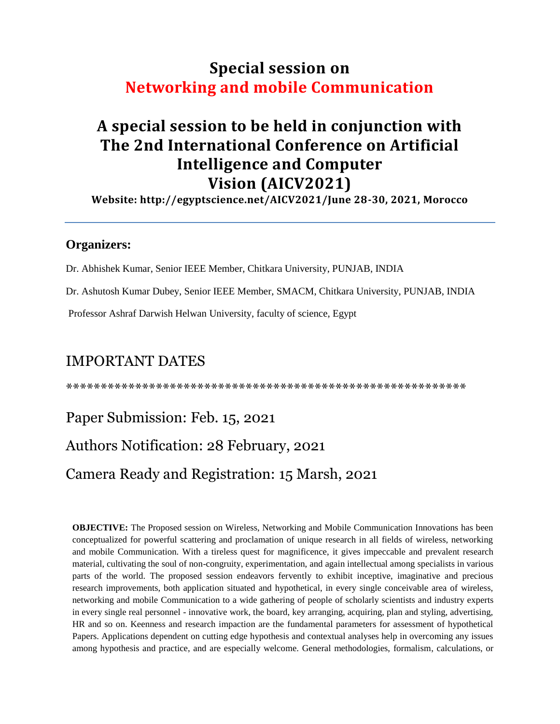## **Special session on Networking and mobile Communication**

# **A special session to be held in conjunction with The 2nd International Conference on Artificial Intelligence and Computer Vision (AICV2021)**

**Website: http://egyptscience.net/AICV2021/June 28-30, 2021, Morocco**

### **Organizers:**

Dr. Abhishek Kumar, Senior IEEE Member, Chitkara University, PUNJAB, INDIA

Dr. Ashutosh Kumar Dubey, Senior IEEE Member, SMACM, Chitkara University, PUNJAB, INDIA

Professor Ashraf Darwish Helwan University, faculty of science, Egypt

## IMPORTANT DATES

\*\*\*\*\*\*\*\*\*\*\*\*\*\*\*\*\*\*\*\*\*\*\*\*\*\*\*\*\*\*\*\*\*\*\*\*\*\*\*\*\*\*\*\*\*\*\*\*\*\*\*\*\*\*\*\*\*\*

### Paper Submission: Feb. 15, 2021

### Authors Notification: 28 February, 2021

### Camera Ready and Registration: 15 Marsh, 2021

**OBJECTIVE:** The Proposed session on Wireless, Networking and Mobile Communication Innovations has been conceptualized for powerful scattering and proclamation of unique research in all fields of wireless, networking and mobile Communication. With a tireless quest for magnificence, it gives impeccable and prevalent research material, cultivating the soul of non-congruity, experimentation, and again intellectual among specialists in various parts of the world. The proposed session endeavors fervently to exhibit inceptive, imaginative and precious research improvements, both application situated and hypothetical, in every single conceivable area of wireless, networking and mobile Communication to a wide gathering of people of scholarly scientists and industry experts in every single real personnel - innovative work, the board, key arranging, acquiring, plan and styling, advertising, HR and so on. Keenness and research impaction are the fundamental parameters for assessment of hypothetical Papers. Applications dependent on cutting edge hypothesis and contextual analyses help in overcoming any issues among hypothesis and practice, and are especially welcome. General methodologies, formalism, calculations, or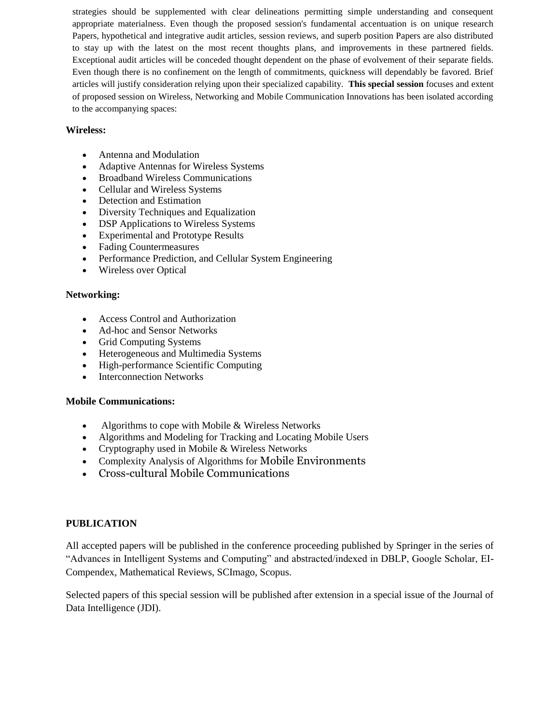strategies should be supplemented with clear delineations permitting simple understanding and consequent appropriate materialness. Even though the proposed session's fundamental accentuation is on unique research Papers, hypothetical and integrative audit articles, session reviews, and superb position Papers are also distributed to stay up with the latest on the most recent thoughts plans, and improvements in these partnered fields. Exceptional audit articles will be conceded thought dependent on the phase of evolvement of their separate fields. Even though there is no confinement on the length of commitments, quickness will dependably be favored. Brief articles will justify consideration relying upon their specialized capability. **This special session** focuses and extent of proposed session on Wireless, Networking and Mobile Communication Innovations has been isolated according to the accompanying spaces:

#### **Wireless:**

- Antenna and Modulation
- Adaptive Antennas for Wireless Systems
- Broadband Wireless Communications
- Cellular and Wireless Systems
- Detection and Estimation
- Diversity Techniques and Equalization
- DSP Applications to Wireless Systems
- Experimental and Prototype Results
- Fading Countermeasures
- Performance Prediction, and Cellular System Engineering
- Wireless over Optical

#### **Networking:**

- Access Control and Authorization
- Ad-hoc and Sensor Networks
- Grid Computing Systems
- Heterogeneous and Multimedia Systems
- High-performance Scientific Computing
- Interconnection Networks

#### **Mobile Communications:**

- Algorithms to cope with Mobile & Wireless Networks
- Algorithms and Modeling for Tracking and Locating Mobile Users
- Cryptography used in Mobile & Wireless Networks
- Complexity Analysis of Algorithms for Mobile Environments
- Cross-cultural Mobile Communications

#### **PUBLICATION**

All accepted papers will be published in the conference proceeding published by Springer in the series of "Advances in Intelligent Systems and Computing" and abstracted/indexed in DBLP, Google Scholar, EI-Compendex, Mathematical Reviews, SCImago, Scopus.

Selected papers of this special session will be published after extension in a special issue of the Journal of Data Intelligence (JDI).